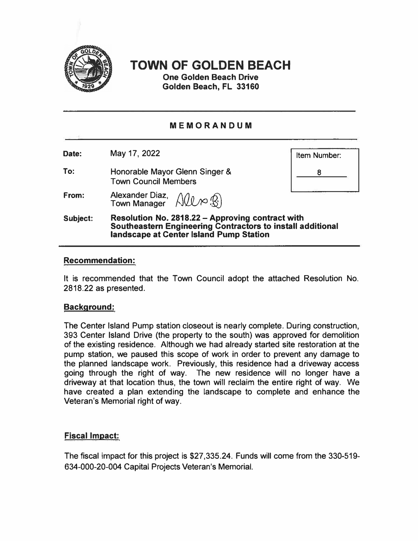

# **TOWN OF GOLDEN BEACH**

**One Golden Beach Drive Golden Beach, FL 33160** 

## **MEMORANDUM**

**Date: May 17, 2022** 

**To: Honorable Mayor Glenn Singer & Town Council Members** 

**From: Alexander Diaz,**  $\bigwedge\mathcal{U}\longrightarrow\mathcal{R}$  Item Number: 8

**Subject: Resolution No. 2818.22 -Approving contract with Southeastern Engineering Contractors to install additional landscape at Center Island Pump Station** 

### **Recommendation:**

**It is recommended that the Town Council adopt the attached Resolution No. 2818.22 as presented.** 

#### **Background:**

**The Center Island Pump station closeout is nearly complete. During construction, 393 Center Island Drive (the property to the south) was approved for demolition of the existing residence. Although we had already started site restoration at the pump station, we paused this scope of work in order to prevent any damage to the planned landscape work. Previously, this residence had a driveway access going through the right of way. The new residence will no longer have a driveway at that location thus, the town will reclaim the entire right of way. We have created a plan extending the landscape to complete and enhance the Veteran's Memorial right of way.** 

## **Fiscal Impact:**

**The fiscal impact for this project is \$27,335.24. Funds will come from the 330-519- 634-000-20-004 Capital Projects Veteran's Memorial.**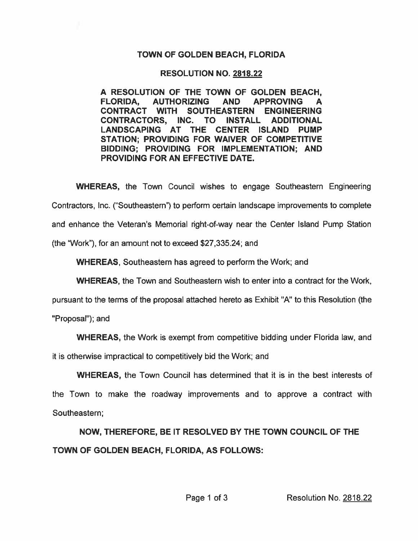## **TOWN OF GOLDEN BEACH, FLORIDA**

#### **RESOLUTION NO. 2818.22**

A RESOLUTION OF THE TOWN OF GOLDEN BEACH, **AUTHORIZING FLORIDA, AND APPROVING** CONTRACT WITH SOUTHEASTERN **ENGINEERING ADDITIONAL** CONTRACTORS, INC. TO **INSTALL** LANDSCAPING AT THE CENTER ISLAND PUMP STATION: PROVIDING FOR WAIVER OF COMPETITIVE BIDDING; PROVIDING FOR IMPLEMENTATION; AND PROVIDING FOR AN EFFECTIVE DATE.

**WHEREAS,** the Town Council wishes to engage Southeastern Engineering Contractors, Inc. ("Southeastern") to perform certain landscape improvements to complete and enhance the Veteran's Memorial right-of-way near the Center Island Pump Station (the "Work"), for an amount not to exceed \$27,335.24; and

**WHEREAS, Southeastern has agreed to perform the Work; and** 

**WHEREAS.** the Town and Southeastern wish to enter into a contract for the Work.

pursuant to the terms of the proposal attached hereto as Exhibit "A" to this Resolution (the

"Proposal"); and

**WHEREAS, the Work is exempt from competitive bidding under Florida law, and** 

it is otherwise impractical to competitively bid the Work; and

**WHEREAS, the Town Council has determined that it is in the best interests of** the Town to make the roadway improvements and to approve a contract with Southeastern:

NOW, THEREFORE, BE IT RESOLVED BY THE TOWN COUNCIL OF THE TOWN OF GOLDEN BEACH, FLORIDA, AS FOLLOWS: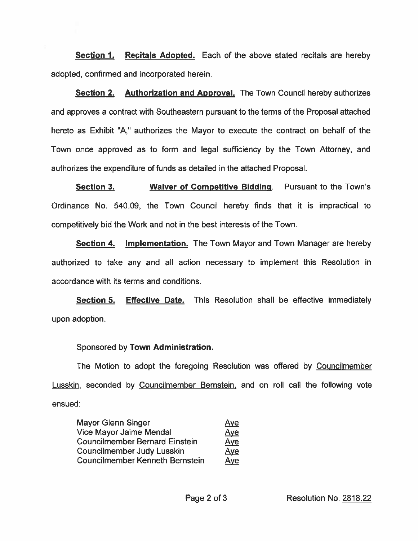**Section 1.** Recitals Adopted. Each of the above stated recitals are hereby adopted, confirmed and incorporated herein.

Section 2. Authorization and Approval. The Town Council hereby authorizes and approves a contract with Southeastern pursuant to the terms of the Proposal attached hereto as Exhibit "A," authorizes the Mayor to execute the contract on behalf of the Town once approved as to form and legal sufficiency by the Town Attorney, and authorizes the expenditure of funds as detailed in the attached Proposal.

Section 3. **Waiver of Competitive Bidding.** Pursuant to the Town's Ordinance No. 540.09, the Town Council hereby finds that it is impractical to competitively bid the Work and not in the best interests of the Town.

**Section 4.** Implementation. The Town Mayor and Town Manager are hereby authorized to take any and all action necessary to implement this Resolution in accordance with its terms and conditions.

**Section 5. Effective Date.** This Resolution shall be effective immediately upon adoption.

Sponsored by Town Administration.

The Motion to adopt the foregoing Resolution was offered by Councilmember Lusskin, seconded by Councilmember Bernstein, and on roll call the following vote ensued:

| <b>Mayor Glenn Singer</b>              | Ave        |
|----------------------------------------|------------|
| Vice Mayor Jaime Mendal                | <u>Aye</u> |
| <b>Councilmember Bernard Einstein</b>  | Aye        |
| Councilmember Judy Lusskin             | Aye        |
| <b>Councilmember Kenneth Bernstein</b> | Aye        |